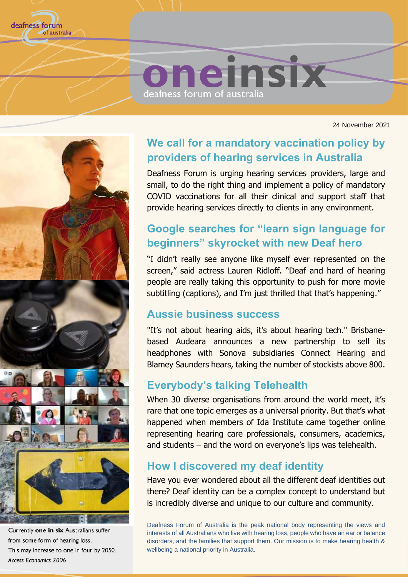

24 November 2021



Currently one in six Australians suffer from some form of hearing loss. This may increase to one in four by 2050. Access Economics 2006

### **We call for a mandatory vaccination policy by providers of hearing services in Australia**

Deafness Forum is urging hearing services providers, large and small, to do the right thing and implement a policy of mandatory COVID vaccinations for all their clinical and support staff that provide hearing services directly to clients in any environment.

## **Google searches for "learn sign language for beginners" skyrocket with new Deaf hero**

"I didn't really see anyone like myself ever represented on the screen," said actress Lauren Ridloff. "Deaf and hard of hearing people are really taking this opportunity to push for more movie subtitling (captions), and I'm just thrilled that that's happening."

### **Aussie business success**

"It's not about hearing aids, it's about hearing tech." Brisbanebased Audeara announces a new partnership to sell its headphones with Sonova subsidiaries Connect Hearing and Blamey Saunders hears, taking the number of stockists above 800.

### **Everybody's talking Telehealth**

When 30 diverse organisations from around the world meet, it's rare that one topic emerges as a universal priority. But that's what happened when members of Ida Institute came together online representing hearing care professionals, consumers, academics, and students – and the word on everyone's lips was telehealth.

### **How I discovered my deaf identity**

Have you ever wondered about all the different deaf identities out there? Deaf identity can be a complex concept to understand but is incredibly diverse and unique to our culture and community.

Deafness Forum of Australia is the peak national body representing the views and interests of all Australians who live with hearing loss, people who have an ear or balance disorders, and the families that support them. Our mission is to make hearing health & wellbeing a national priority in Australia.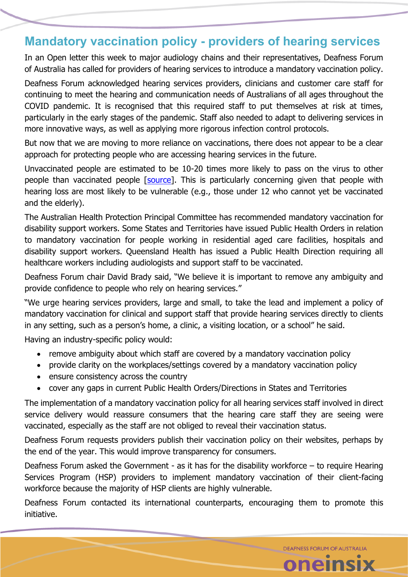### **Mandatory vaccination policy - providers of hearing services**

In an Open letter this week to major audiology chains and their representatives, Deafness Forum of Australia has called for providers of hearing services to introduce a mandatory vaccination policy.

Deafness Forum acknowledged hearing services providers, clinicians and customer care staff for continuing to meet the hearing and communication needs of Australians of all ages throughout the COVID pandemic. It is recognised that this required staff to put themselves at risk at times, particularly in the early stages of the pandemic. Staff also needed to adapt to delivering services in more innovative ways, as well as applying more rigorous infection control protocols.

But now that we are moving to more reliance on vaccinations, there does not appear to be a clear approach for protecting people who are accessing hearing services in the future.

Unvaccinated people are estimated to be 10-20 times more likely to pass on the virus to other people than vaccinated people [\[source\]](https://www.deafnessforum.org.au/your-unvaccinated-friend-is-20-times-more-likely-to-give-you-covid/). This is particularly concerning given that people with hearing loss are most likely to be vulnerable (e.g., those under 12 who cannot yet be vaccinated and the elderly).

The Australian Health Protection Principal Committee has recommended mandatory vaccination for disability support workers. Some States and Territories have issued Public Health Orders in relation to mandatory vaccination for people working in residential aged care facilities, hospitals and disability support workers. Queensland Health has issued a Public Health Direction requiring all healthcare workers including audiologists and support staff to be vaccinated.

Deafness Forum chair David Brady said, "We believe it is important to remove any ambiguity and provide confidence to people who rely on hearing services."

"We urge hearing services providers, large and small, to take the lead and implement a policy of mandatory vaccination for clinical and support staff that provide hearing services directly to clients in any setting, such as a person's home, a clinic, a visiting location, or a school" he said.

Having an industry-specific policy would:

- remove ambiguity about which staff are covered by a mandatory vaccination policy
- provide clarity on the workplaces/settings covered by a mandatory vaccination policy
- ensure consistency across the country
- cover any gaps in current Public Health Orders/Directions in States and Territories

The implementation of a mandatory vaccination policy for all hearing services staff involved in direct service delivery would reassure consumers that the hearing care staff they are seeing were vaccinated, especially as the staff are not obliged to reveal their vaccination status.

Deafness Forum requests providers publish their vaccination policy on their websites, perhaps by the end of the year. This would improve transparency for consumers.

Deafness Forum asked the Government - as it has for the disability workforce – to require Hearing Services Program (HSP) providers to implement mandatory vaccination of their client-facing workforce because the majority of HSP clients are highly vulnerable.

Deafness Forum contacted its international counterparts, encouraging them to promote this initiative.

**DEAFNESS FORUM OF AUSTRALIA** 

oneinsix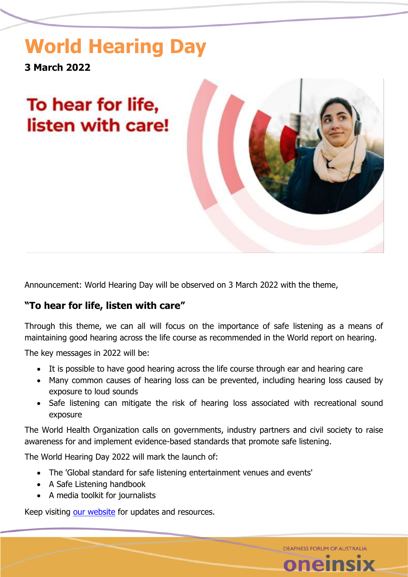# **World Hearing Day**

**3 March 2022**

# To hear for life, listen with care!



**DEAFNESS FORUM OF AUSTRALIA** 

Announcement: World Hearing Day will be observed on 3 March 2022 with the theme,

### **"To hear for life, listen with care"**

Through this theme, we can all will focus on the importance of safe listening as a means of maintaining good hearing across the life course as recommended in the World report on hearing.

The key messages in 2022 will be:

- It is possible to have good hearing across the life course through ear and hearing care
- Many common causes of hearing loss can be prevented, including hearing loss caused by exposure to loud sounds
- Safe listening can mitigate the risk of hearing loss associated with recreational sound exposure

The World Health Organization calls on governments, industry partners and civil society to raise awareness for and implement evidence-based standards that promote safe listening.

The World Hearing Day 2022 will mark the launch of:

- The 'Global standard for safe listening entertainment venues and events'
- A Safe Listening handbook
- A media toolkit for journalists

Keep visiting [our website](https://www.deafnessforum.org.au/world-hearing-day/) for updates and resources.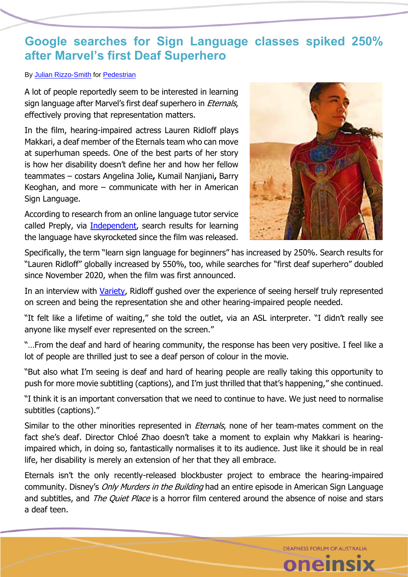### **Google searches for Sign Language classes spiked 250% after Marvel's first Deaf Superhero**

#### By [Julian Rizzo-Smith](https://www.pedestrian.tv/author/julianrizzosmith/) for [Pedestrian](https://www.pedestrian.tv/entertainment/eternals-makkari-lauren-ridloff-marvel-first-deaf-superhero/)

A lot of people reportedly seem to be interested in learning sign language after Marvel's first deaf superhero in *Eternals*, effectively proving that representation matters.

In the film, hearing-impaired actress Lauren Ridloff plays Makkari, a deaf member of the Eternals team who can move at superhuman speeds. One of the best parts of her story is how her disability doesn't define her and how her fellow teammates – costars Angelina Jolie**,** Kumail Nanjiani**,** Barry Keoghan, and more – communicate with her in American Sign Language.

According to research from an online language tutor service called Preply, via [Independent,](https://www.independent.co.uk/arts-entertainment/films/news/eternals-sign-language-deaf-superhero-lauren-ridloff-b1954107.html) search results for learning the language have skyrocketed since the film was released.



Specifically, the term "learn sign language for beginners" has increased by 250%. Search results for "Lauren Ridloff" globally increased by 550%, too, while searches for "first deaf superhero" doubled since November 2020, when the film was first announced.

In an interview with [Variety,](https://variety.com/2021/film/news/eternals-lauren-ridloff-deaf-superhero-marvel-studios-1235103428/) Ridloff gushed over the experience of seeing herself truly represented on screen and being the representation she and other hearing-impaired people needed.

"It felt like a lifetime of waiting," she told the outlet, via an ASL interpreter. "I didn't really see anyone like myself ever represented on the screen."

"…From the deaf and hard of hearing community, the response has been very positive. I feel like a lot of people are thrilled just to see a deaf person of colour in the movie.

"But also what I'm seeing is deaf and hard of hearing people are really taking this opportunity to push for more movie subtitling (captions), and I'm just thrilled that that's happening," she continued.

"I think it is an important conversation that we need to continue to have. We just need to normalise subtitles (captions)."

Similar to the other minorities represented in *Eternals*, none of her team-mates comment on the fact she's deaf. Director Chloé Zhao doesn't take a moment to explain why Makkari is hearingimpaired which, in doing so, fantastically normalises it to its audience. Just like it should be in real life, her disability is merely an extension of her that they all embrace.

Eternals isn't the only recently-released blockbuster project to embrace the hearing-impaired community. Disney's *[Only Murders in the Building](https://www.pedestrian.tv/entertainment/only-murders-in-the-building-disney-plus/)* had an entire episode in American Sign Language and subtitles, and *The Quiet Place* is a horror film centered around the absence of noise and stars a deaf teen.

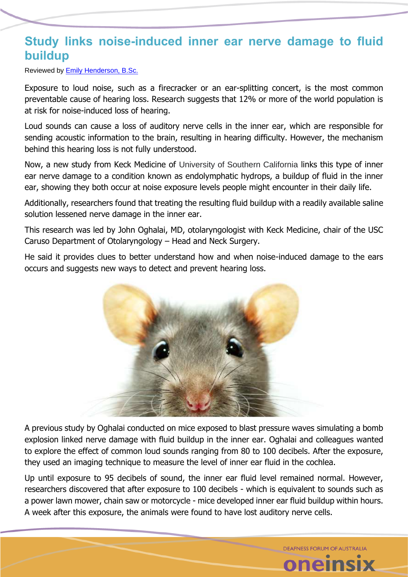### **Study links noise-induced inner ear nerve damage to fluid buildup**

Reviewed by [Emily Henderson, B.Sc.](https://www.news-medical.net/medical/authors/emily-henderson)

Exposure to loud noise, such as a firecracker or an ear-splitting concert, is the most common preventable cause of hearing loss. Research suggests that 12% or more of the world population is at risk for noise-induced loss of hearing.

Loud sounds can cause a loss of auditory nerve cells in the inner ear, which are responsible for sending acoustic information to the brain, resulting in hearing difficulty. However, the mechanism behind this hearing loss is not fully understood.

Now, a new study from Keck Medicine of University of Southern California links this type of inner ear nerve damage to a condition known as endolymphatic hydrops, a buildup of fluid in the inner ear, showing they both occur at noise exposure levels people might encounter in their daily life.

Additionally, researchers found that treating the resulting fluid buildup with a readily available saline solution lessened nerve damage in the inner ear.

This research was led by John Oghalai, MD, otolaryngologist with Keck Medicine, chair of the USC Caruso Department of Otolaryngology – Head and Neck Surgery.

He said it provides clues to better understand how and when noise-induced damage to the ears occurs and suggests new ways to detect and prevent hearing loss.



A previous study by Oghalai conducted on mice exposed to blast pressure waves simulating a bomb explosion linked nerve damage with fluid buildup in the inner ear. Oghalai and colleagues wanted to explore the effect of common loud sounds ranging from 80 to 100 decibels. After the exposure, they used an imaging technique to measure the level of inner ear fluid in the cochlea.

Up until exposure to 95 decibels of sound, the inner ear fluid level remained normal. However, researchers discovered that after exposure to 100 decibels - which is equivalent to sounds such as a power lawn mower, chain saw or motorcycle - mice developed inner ear fluid buildup within hours. A week after this exposure, the animals were found to have lost auditory nerve cells.

**DEAFNESS FORUM OF AUSTRALIA** 

**ieinsi**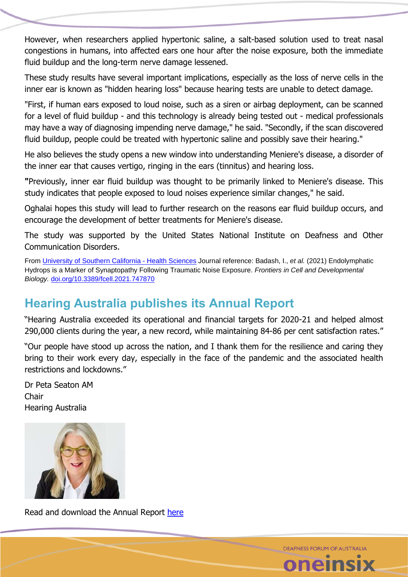However, when researchers applied hypertonic saline, a salt-based solution used to treat nasal congestions in humans, into affected ears one hour after the noise exposure, both the immediate fluid buildup and the long-term nerve damage lessened.

These study results have several important implications, especially as the loss of nerve cells in the inner ear is known as "hidden hearing loss" because hearing tests are unable to detect damage.

"First, if human ears exposed to loud noise, such as a siren or airbag deployment, can be scanned for a level of fluid buildup - and this technology is already being tested out - medical professionals may have a way of diagnosing impending nerve damage," he said. "Secondly, if the scan discovered fluid buildup, people could be treated with hypertonic saline and possibly save their hearing."

He also believes the study opens a new window into understanding Meniere's disease, a disorder of the inner ear that causes vertigo, ringing in the ears (tinnitus) and hearing loss.

**"**Previously, inner ear fluid buildup was thought to be primarily linked to Meniere's disease. This study indicates that people exposed to loud noises experience similar changes," he said.

Oghalai hopes this study will lead to further research on the reasons ear fluid buildup occurs, and encourage the development of better treatments for Meniere's disease.

The study was supported by the United States National Institute on Deafness and Other Communication Disorders.

From [University of Southern California -](https://keck.usc.edu/) Health Sciences Journal reference: Badash, I., *et al.* (2021) Endolymphatic Hydrops is a Marker of Synaptopathy Following Traumatic Noise Exposure. *Frontiers in Cell and Developmental Biology.* [doi.org/10.3389/fcell.2021.747870](https://doi.org/10.3389/fcell.2021.747870)

# **Hearing Australia publishes its Annual Report**

"Hearing Australia exceeded its operational and financial targets for 2020-21 and helped almost 290,000 clients during the year, a new record, while maintaining 84-86 per cent satisfaction rates."

"Our people have stood up across the nation, and I thank them for the resilience and caring they bring to their work every day, especially in the face of the pandemic and the associated health restrictions and lockdowns."

Dr Peta Seaton AM **Chair** Hearing Australia



Read and download the Annual Report [here](https://www.deafnessforum.org.au/hearing-australia-publishes-its-annual-report/)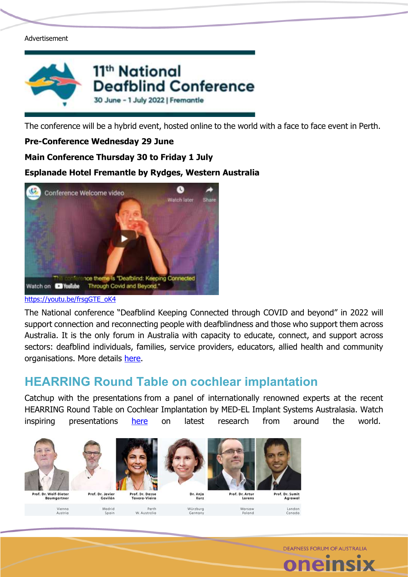#### Advertisement



The conference will be a hybrid event, hosted online to the world with a face to face event in Perth.

#### **Pre-Conference Wednesday 29 June**

### **Main Conference Thursday 30 to Friday 1 July**

### **Esplanade Hotel Fremantle by Rydges, Western Australia**



#### https://voutu.be/frsaGTE\_oK4

The National conference "Deafblind Keeping Connected through COVID and beyond" in 2022 will support connection and reconnecting people with deafblindness and those who support them across Australia. It is the only forum in Australia with capacity to educate, connect, and support across sectors: deafblind individuals, families, service providers, educators, allied health and community organisations. More details [here.](https://event.icebergevents.com.au/db-2022)

### **HEARRING Round Table on cochlear implantation**

Catchup with the presentations from a panel of internationally renowned experts at the recent HEARRING Round Table on Cochlear Implantation by MED-EL Implant Systems Australasia. Watch inspiring presentations [here](https://www.youtube.com/watch?v=2H-OSkVv1ZM) on latest research from around the world.

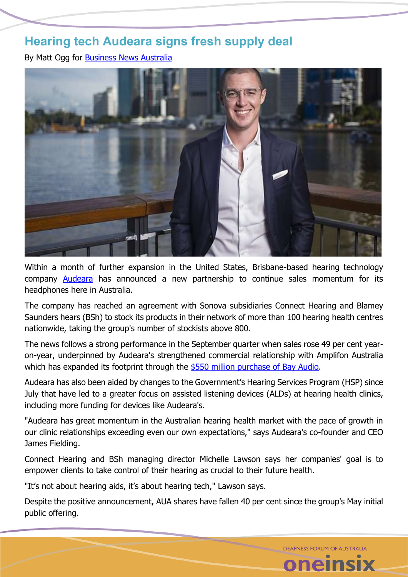### **Hearing tech Audeara signs fresh supply deal**

By Matt Ogg for [Business News Australia](https://www.businessnewsaustralia.com/articles/hearing-tech-audeara-signs-fresh-supply-deal-as-national-clinic-count-exceeds-800.html)



Within a month of further expansion in the United States, Brisbane-based hearing technology company [Audeara](https://www.businessnewsaustralia.com/articles/audeara-s-rise-from-fledgling-start-up-to-a--21m-company-in-six-years.html) has announced a new partnership to continue sales momentum for its headphones here in Australia.

The company has reached an agreement with Sonova subsidiaries Connect Hearing and Blamey Saunders hears (BSh) to stock its products in their network of more than 100 hearing health centres nationwide, taking the group's number of stockists above 800.

The news follows a strong performance in the September quarter when sales rose 49 per cent yearon-year, underpinned by Audeara's strengthened commercial relationship with Amplifon Australia which has expanded its footprint through the [\\$550 million purchase of Bay Audio.](https://www.businessnewsaustralia.com/articles/hearing-care-retailer-bay-audio-acquired-by-italian-multinational-for--550m.html)

Audeara has also been aided by changes to the Government's Hearing Services Program (HSP) since July that have led to a greater focus on assisted listening devices (ALDs) at hearing health clinics, including more funding for devices like Audeara's.

"Audeara has great momentum in the Australian hearing health market with the pace of growth in our clinic relationships exceeding even our own expectations," says Audeara's co-founder and CEO James Fielding.

Connect Hearing and BSh managing director Michelle Lawson says her companies' goal is to empower clients to take control of their hearing as crucial to their future health.

"It's not about hearing aids, it's about hearing tech," Lawson says.

Despite the positive announcement, AUA shares have fallen 40 per cent since the group's May initial public offering.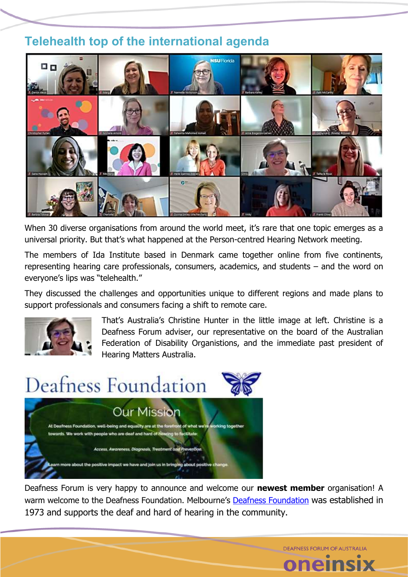## **Telehealth top of the international agenda**



When 30 diverse organisations from around the world meet, it's rare that one topic emerges as a universal priority. But that's what happened at the Person-centred Hearing Network meeting.

The members of Ida Institute based in Denmark came together online from five continents, representing hearing care professionals, consumers, academics, and students – and the word on everyone's lips was "telehealth."

They discussed the challenges and opportunities unique to different regions and made plans to support professionals and consumers facing a shift to remote care.



That's Australia's Christine Hunter in the little image at left. Christine is a Deafness Forum adviser, our representative on the board of the Australian Federation of Disability Organistions, and the immediate past president of Hearing Matters Australia.



Deafness Forum is very happy to announce and welcome our **newest member** organisation! A warm welcome to the [Deafness Foundation](https://www.deafness.org.au/). Melbourne's Deafness Foundation was established in 1973 and supports the deaf and hard of hearing in the community.

DEAENESS FORLIM OF ALISTRALIA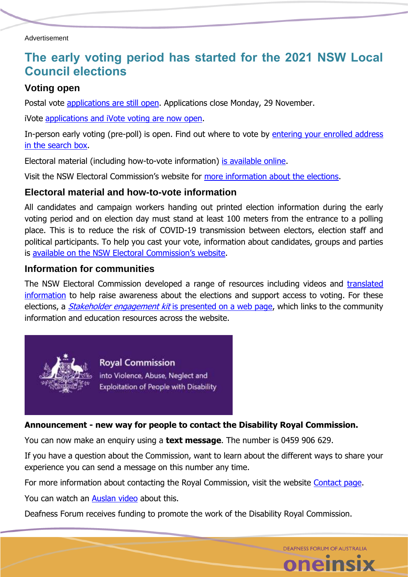### **The early voting period has started for the 2021 NSW Local Council elections**

### **Voting open**

Postal vote [applications are still open.](https://www.elections.nsw.gov.au/Voters/Other-voting-options/Postal-voting) Applications close Monday, 29 November.

iVote [applications and iVote voting are now open.](https://ivote.nsw.gov.au/)

In-person early voting (pre-poll) is open. Find out where to vote by [entering your enrolled address](https://www.elections.nsw.gov.au/Elections/Local-government-elections/Local-Government-Elections-2021)  [in the search box.](https://www.elections.nsw.gov.au/Elections/Local-government-elections/Local-Government-Elections-2021)

Electoral material (including how-to-vote information) [is available online.](https://htvdisplay.elections.nsw.gov.au/app/lge/home)

Visit the NSW Electoral Commission's website for [more information about the elections.](https://elections.nsw.gov.au/Elections/Local-government-elections/Local-Government-Elections-2021)

### **Electoral material and how-to-vote information**

All candidates and campaign workers handing out printed election information during the early voting period and on election day must stand at least 100 meters from the entrance to a polling place. This is to reduce the risk of COVID-19 transmission between electors, election staff and political participants. To help you cast your vote, information about candidates, groups and parties is availa[ble on the NSW Electoral Commission's website](https://htvdisplay.elections.nsw.gov.au/app/lge/home).

### **Information for communities**

The NSW Electoral Commission developed a range of resources including videos and [translated](https://elections.nsw.gov.au/Assistance-in-your-language)  [information](https://elections.nsw.gov.au/Assistance-in-your-language) to help raise awareness about the elections and support access to voting. For these elections, a *Stakeholder engagement kit* [is presented on a web page,](https://elections.nsw.gov.au/Voters/Assistance-for-voters/Community-education-resources) which links to the community information and education resources across the website.



**Royal Commission** into Violence, Abuse, Neglect and Exploitation of People with Disability

#### **Announcement - new way for people to contact the Disability Royal Commission.**

You can now make an enquiry using a **text message**. The number is 0459 906 629.

If you have a question about the Commission, want to learn about the different ways to share your experience you can send a message on this number any time.

**DEAFNESS FORUM OF AUSTRALIA** 

**neinsi** 

For more information about contacting the Royal Commission, visit the website [Contact page.](https://disability.royalcommission.gov.au/contact)

You can watch an [Auslan video](https://youtu.be/utfrpjTSSUQ) about this.

Deafness Forum receives funding to promote the work of the Disability Royal Commission.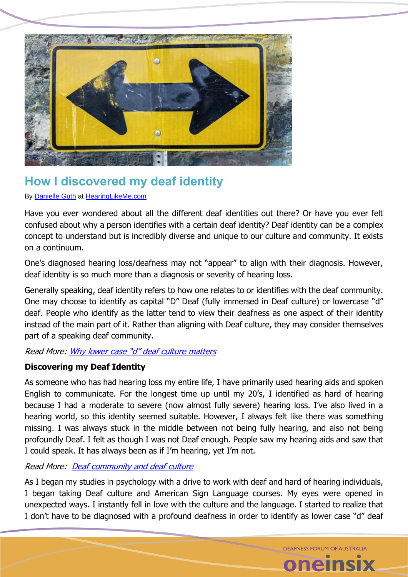

# **How I discovered my deaf identity**

By [Danielle Guth](https://www.hearinglikeme.com/author/danielleguth/) at [HearingLikeMe.com](https://www.hearinglikeme.com/discovering-my-deaf-identity/)

Have you ever wondered about all the different deaf identities out there? Or have you ever felt confused about why a person identifies with a certain deaf identity? Deaf identity can be a complex concept to understand but is incredibly diverse and unique to our culture and community. It exists on a continuum.

One's diagnosed hearing loss/deafness may not "appear" to align with their diagnosis. However, deaf identity is so much more than a diagnosis or severity of hearing loss.

Generally speaking, deaf identity refers to how one relates to or identifies with the deaf community. One may choose to identify as capital "D" Deaf (fully immersed in Deaf culture) or lowercase "d" deaf. People who identify as the latter tend to view their deafness as one aspect of their identity instead of the main part of it. Rather than aligning with Deaf culture, they may consider themselves part of a speaking deaf community.

#### Read More: [Why lower case "d" deaf culture matters](https://www.hearinglikeme.com/why-lower-case-d-deaf-culture-matters/)

#### **Discovering my Deaf Identity**

As someone who has had hearing loss my entire life, I have primarily used hearing aids and spoken English to communicate. For the longest time up until my 20's, I identified as hard of hearing because I had a moderate to severe (now almost fully severe) hearing loss. I've also lived in a hearing world, so this identity seemed suitable. However, I always felt like there was something missing. I was always stuck in the middle between not being fully hearing, and also not being profoundly Deaf. I felt as though I was not Deaf enough. People saw my hearing aids and saw that I could speak. It has always been as if I'm hearing, yet I'm not.

#### Read More: [Deaf community and deaf culture](https://www.hearinglikeme.com/deaf-community-and-deaf-culture/)

As I began my studies in psychology with a drive to work with deaf and hard of hearing individuals, I began taking Deaf culture and American Sign Language courses. My eyes were opened in unexpected ways. I instantly fell in love with the culture and the language. I started to realize that I don't have to be diagnosed with a profound deafness in order to identify as lower case "d" deaf

> DEAENESS FORLIM OF ALISTRALIA **1elf**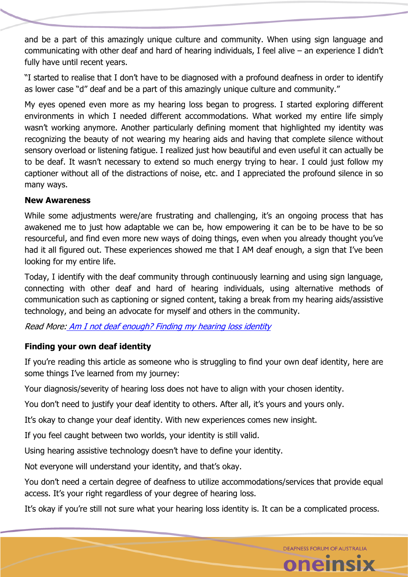and be a part of this amazingly unique culture and community. When using sign language and communicating with other deaf and hard of hearing individuals, I feel alive – an experience I didn't fully have until recent years.

"I started to realise that I don't have to be diagnosed with a profound deafness in order to identify as lower case "d" deaf and be a part of this amazingly unique culture and community."

My eyes opened even more as my hearing loss began to progress. I started exploring different environments in which I needed different accommodations. What worked my entire life simply wasn't working anymore. Another particularly defining moment that highlighted my identity was recognizing the beauty of not wearing my hearing aids and having that complete silence without sensory overload or listening fatigue. I realized just how beautiful and even useful it can actually be to be deaf. It wasn't necessary to extend so much energy trying to hear. I could just follow my captioner without all of the distractions of noise, etc. and I appreciated the profound silence in so many ways.

### **New Awareness**

While some adjustments were/are frustrating and challenging, it's an ongoing process that has awakened me to just how adaptable we can be, how empowering it can be to be have to be so resourceful, and find even more new ways of doing things, even when you already thought you've had it all figured out. These experiences showed me that I AM deaf enough, a sign that I've been looking for my entire life.

Today, I identify with the deaf community through continuously learning and using sign language, connecting with other deaf and hard of hearing individuals, using alternative methods of communication such as captioning or signed content, taking a break from my hearing aids/assistive technology, and being an advocate for myself and others in the community.

Read More: [Am I not deaf enough? Finding my hearing loss identity](https://www.hearinglikeme.com/not-deaf-enough-hearing-loss-identity/)

### **Finding your own deaf identity**

If you're reading this article as someone who is struggling to find your own deaf identity, here are some things I've learned from my journey:

Your diagnosis/severity of hearing loss does not have to align with your chosen identity.

You don't need to justify your deaf identity to others. After all, it's yours and yours only.

It's okay to change your deaf identity. With new experiences comes new insight.

If you feel caught between two worlds, your identity is still valid.

Using hearing assistive technology doesn't have to define your identity.

Not everyone will understand your identity, and that's okay.

You don't need a certain degree of deafness to utilize accommodations/services that provide equal access. It's your right regardless of your degree of hearing loss.

It's okay if you're still not sure what your hearing loss identity is. It can be a complicated process.

**DEAFNESS FORUM OF AUSTRALIA** 

oneinsi